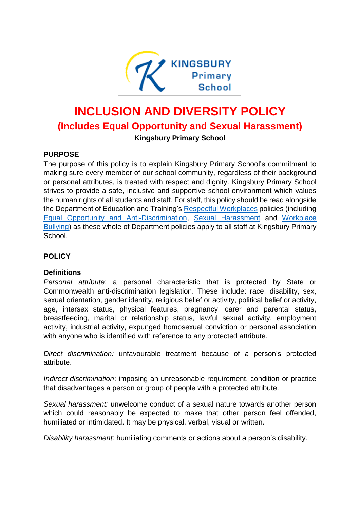

# **INCLUSION AND DIVERSITY POLICY (Includes Equal Opportunity and Sexual Harassment) Kingsbury Primary School**

## **PURPOSE**

The purpose of this policy is to explain Kingsbury Primary School's commitment to making sure every member of our school community, regardless of their background or personal attributes, is treated with respect and dignity. Kingsbury Primary School strives to provide a safe, inclusive and supportive school environment which values the human rights of all students and staff. For staff, this policy should be read alongside the Department of Education and Training's [Respectful Workplaces](https://www.education.vic.gov.au/hrweb/divequity/Pages/respect.aspx) policies (including [Equal Opportunity and Anti-Discrimination,](https://www.education.vic.gov.au/hrweb/divequity/Pages/default_eeo.aspx) [Sexual Harassment](https://www.education.vic.gov.au/hrweb/divequity/Pages/SexualHarassment.aspx) and [Workplace](https://www.education.vic.gov.au/hrweb/safetyhw/Pages/workplacebullying.aspx)  [Bullying\)](https://www.education.vic.gov.au/hrweb/safetyhw/Pages/workplacebullying.aspx) as these whole of Department policies apply to all staff at Kingsbury Primary School.

## **POLICY**

## **Definitions**

*Personal attribute*: a personal characteristic that is protected by State or Commonwealth anti-discrimination legislation. These include: race, disability, sex, sexual orientation, gender identity, religious belief or activity, political belief or activity, age, intersex status, physical features, pregnancy, carer and parental status, breastfeeding, marital or relationship status, lawful sexual activity, employment activity, industrial activity, expunged homosexual conviction or personal association with anyone who is identified with reference to any protected attribute.

*Direct discrimination:* unfavourable treatment because of a person's protected attribute.

*Indirect discrimination*: imposing an unreasonable requirement, condition or practice that disadvantages a person or group of people with a protected attribute.

*Sexual harassment:* unwelcome conduct of a sexual nature towards another person which could reasonably be expected to make that other person feel offended, humiliated or intimidated. It may be physical, verbal, visual or written.

*Disability harassment*: humiliating comments or actions about a person's disability.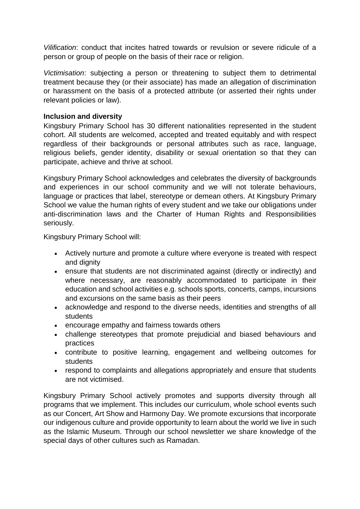*Vilification*: conduct that incites hatred towards or revulsion or severe ridicule of a person or group of people on the basis of their race or religion.

*Victimisation*: subjecting a person or threatening to subject them to detrimental treatment because they (or their associate) has made an allegation of discrimination or harassment on the basis of a protected attribute (or asserted their rights under relevant policies or law).

#### **Inclusion and diversity**

Kingsbury Primary School has 30 different nationalities represented in the student cohort. All students are welcomed, accepted and treated equitably and with respect regardless of their backgrounds or personal attributes such as race, language, religious beliefs, gender identity, disability or sexual orientation so that they can participate, achieve and thrive at school.

Kingsbury Primary School acknowledges and celebrates the diversity of backgrounds and experiences in our school community and we will not tolerate behaviours, language or practices that label, stereotype or demean others. At Kingsbury Primary School we value the human rights of every student and we take our obligations under anti-discrimination laws and the Charter of Human Rights and Responsibilities seriously.

Kingsbury Primary School will:

- Actively nurture and promote a culture where everyone is treated with respect and dignity
- ensure that students are not discriminated against (directly or indirectly) and where necessary, are reasonably accommodated to participate in their education and school activities e.g. schools sports, concerts, camps, incursions and excursions on the same basis as their peers
- acknowledge and respond to the diverse needs, identities and strengths of all students
- encourage empathy and fairness towards others
- challenge stereotypes that promote prejudicial and biased behaviours and practices
- contribute to positive learning, engagement and wellbeing outcomes for students
- respond to complaints and allegations appropriately and ensure that students are not victimised.

Kingsbury Primary School actively promotes and supports diversity through all programs that we implement. This includes our curriculum, whole school events such as our Concert, Art Show and Harmony Day. We promote excursions that incorporate our indigenous culture and provide opportunity to learn about the world we live in such as the Islamic Museum. Through our school newsletter we share knowledge of the special days of other cultures such as Ramadan.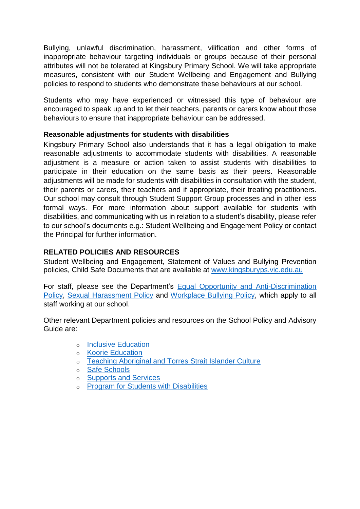Bullying, unlawful discrimination, harassment, vilification and other forms of inappropriate behaviour targeting individuals or groups because of their personal attributes will not be tolerated at Kingsbury Primary School. We will take appropriate measures, consistent with our Student Wellbeing and Engagement and Bullying policies to respond to students who demonstrate these behaviours at our school.

Students who may have experienced or witnessed this type of behaviour are encouraged to speak up and to let their teachers, parents or carers know about those behaviours to ensure that inappropriate behaviour can be addressed.

## **Reasonable adjustments for students with disabilities**

Kingsbury Primary School also understands that it has a legal obligation to make reasonable adjustments to accommodate students with disabilities. A reasonable adjustment is a measure or action taken to assist students with disabilities to participate in their education on the same basis as their peers. Reasonable adjustments will be made for students with disabilities in consultation with the student, their parents or carers, their teachers and if appropriate, their treating practitioners. Our school may consult through Student Support Group processes and in other less formal ways. For more information about support available for students with disabilities, and communicating with us in relation to a student's disability, please refer to our school's documents e.g.: Student Wellbeing and Engagement Policy or contact the Principal for further information.

## **RELATED POLICIES AND RESOURCES**

Student Wellbeing and Engagement, Statement of Values and Bullying Prevention policies, Child Safe Documents that are available at [www.kingsburyps.vic.edu.au](http://www.kingsburyps.vic.edu.au/)

For staff, please see the Department's [Equal Opportunity and Anti-Discrimination](https://www.education.vic.gov.au/hrweb/divequity/Pages/default_eeo.aspx)  [Policy,](https://www.education.vic.gov.au/hrweb/divequity/Pages/default_eeo.aspx) [Sexual Harassment Policy](https://www.education.vic.gov.au/hrweb/divequity/Pages/SexualHarassment.aspx) and [Workplace Bullying Policy,](https://www.education.vic.gov.au/hrweb/safetyhw/Pages/workplacebullying.aspx) which apply to all staff working at our school.

Other relevant Department policies and resources on the School Policy and Advisory Guide are:

- o [Inclusive Education](http://www.education.vic.gov.au/school/principals/spag/participation/Pages/studentswithdisability.aspx)
- o Koorie [Education](http://www.education.vic.gov.au/school/principals/spag/curriculum/Pages/koorie.aspx)
- o [Teaching Aboriginal and Torres Strait](http://www.education.vic.gov.au/school/teachers/teachingresources/multicultural/Pages/koorieculture.aspx) Islander Culture
- o [Safe Schools](http://www.education.vic.gov.au/about/programs/health/Pages/safe-schools-coalition.aspx?Redirect=1#link8)
- o [Supports and Services](http://www.education.vic.gov.au/school/parents/needs/Pages/supportservices.aspx)
- o [Program for Students with Disabilities](http://www.education.vic.gov.au/school/teachers/learningneeds/Pages/psdhandbook.aspx)